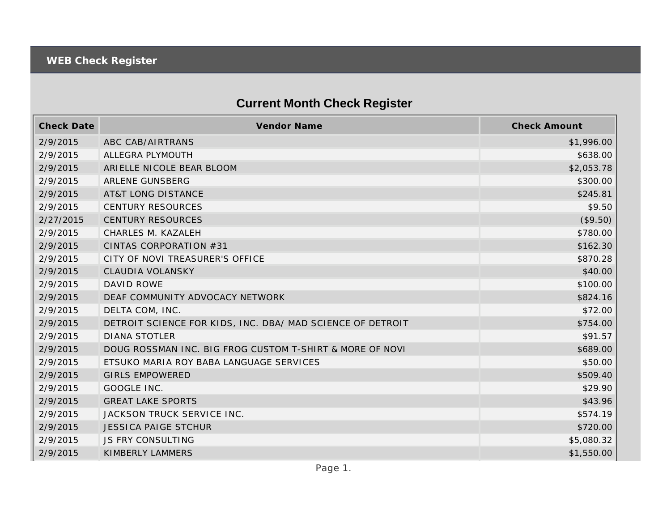## **Current Month Check Register**

| <b>Check Date</b> | Vendor Name                                                | <b>Check Amount</b> |
|-------------------|------------------------------------------------------------|---------------------|
| 2/9/2015          | ABC CAB/AIRTRANS                                           | \$1,996.00          |
| 2/9/2015          | ALLEGRA PLYMOUTH                                           | \$638.00            |
| 2/9/2015          | ARIELLE NICOLE BEAR BLOOM                                  | \$2,053.78          |
| 2/9/2015          | ARLENE GUNSBERG                                            | \$300.00            |
| 2/9/2015          | <b>AT&amp;T LONG DISTANCE</b>                              | \$245.81            |
| 2/9/2015          | <b>CENTURY RESOURCES</b>                                   | \$9.50              |
| 2/27/2015         | <b>CENTURY RESOURCES</b>                                   | (\$9.50)            |
| 2/9/2015          | CHARLES M. KAZALEH                                         | \$780.00            |
| 2/9/2015          | CINTAS CORPORATION #31                                     | \$162.30            |
| 2/9/2015          | CITY OF NOVI TREASURER'S OFFICE                            | \$870.28            |
| 2/9/2015          | CLAUDIA VOLANSKY                                           | \$40.00             |
| 2/9/2015          | <b>DAVID ROWE</b>                                          | \$100.00            |
| 2/9/2015          | DEAF COMMUNITY ADVOCACY NETWORK                            | \$824.16            |
| 2/9/2015          | DELTA COM, INC.                                            | \$72.00             |
| 2/9/2015          | DETROIT SCIENCE FOR KIDS, INC. DBA/ MAD SCIENCE OF DETROIT | \$754.00            |
| 2/9/2015          | <b>DIANA STOTLER</b>                                       | \$91.57             |
| 2/9/2015          | DOUG ROSSMAN INC. BIG FROG CUSTOM T-SHIRT & MORE OF NOVI   | \$689.00            |
| 2/9/2015          | ETSUKO MARIA ROY BABA LANGUAGE SERVICES                    | \$50.00             |
| 2/9/2015          | <b>GIRLS EMPOWERED</b>                                     | \$509.40            |
| 2/9/2015          | GOOGLE INC.                                                | \$29.90             |
| 2/9/2015          | <b>GREAT LAKE SPORTS</b>                                   | \$43.96             |
| 2/9/2015          | JACKSON TRUCK SERVICE INC.                                 | \$574.19            |
| 2/9/2015          | <b>JESSICA PAIGE STCHUR</b>                                | \$720.00            |
| 2/9/2015          | JS FRY CONSULTING                                          | \$5,080.32          |
| 2/9/2015          | KIMBERLY LAMMERS                                           | \$1,550.00          |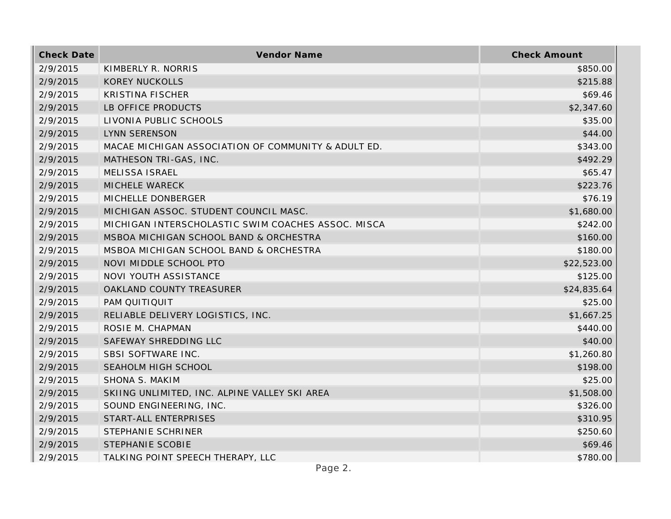| <b>Check Date</b> | Vendor Name                                         | <b>Check Amount</b> |
|-------------------|-----------------------------------------------------|---------------------|
| 2/9/2015          | KIMBERLY R. NORRIS                                  | \$850.00            |
| 2/9/2015          | <b>KOREY NUCKOLLS</b>                               | \$215.88            |
| 2/9/2015          | <b>KRISTINA FISCHER</b>                             | \$69.46             |
| 2/9/2015          | LB OFFICE PRODUCTS                                  | \$2,347.60          |
| 2/9/2015          | LIVONIA PUBLIC SCHOOLS                              | \$35.00             |
| 2/9/2015          | <b>LYNN SERENSON</b>                                | \$44.00             |
| 2/9/2015          | MACAE MICHIGAN ASSOCIATION OF COMMUNITY & ADULT ED. | \$343.00            |
| 2/9/2015          | MATHESON TRI-GAS, INC.                              | \$492.29            |
| 2/9/2015          | MELISSA ISRAEL                                      | \$65.47             |
| 2/9/2015          | MICHELE WARECK                                      | \$223.76            |
| 2/9/2015          | MICHELLE DONBERGER                                  | \$76.19             |
| 2/9/2015          | MICHIGAN ASSOC. STUDENT COUNCIL MASC.               | \$1,680.00          |
| 2/9/2015          | MICHIGAN INTERSCHOLASTIC SWIM COACHES ASSOC. MISCA  | \$242.00            |
| 2/9/2015          | MSBOA MICHIGAN SCHOOL BAND & ORCHESTRA              | \$160.00            |
| 2/9/2015          | MSBOA MICHIGAN SCHOOL BAND & ORCHESTRA              | \$180.00            |
| 2/9/2015          | NOVI MIDDLE SCHOOL PTO                              | \$22,523.00         |
| 2/9/2015          | NOVI YOUTH ASSISTANCE                               | \$125.00            |
| 2/9/2015          | OAKLAND COUNTY TREASURER                            | \$24,835.64         |
| 2/9/2015          | PAM QUITIQUIT                                       | \$25.00             |
| 2/9/2015          | RELIABLE DELIVERY LOGISTICS, INC.                   | \$1,667.25          |
| 2/9/2015          | ROSIE M. CHAPMAN                                    | \$440.00            |
| 2/9/2015          | SAFEWAY SHREDDING LLC                               | \$40.00             |
| 2/9/2015          | SBSI SOFTWARE INC.                                  | \$1,260.80          |
| 2/9/2015          | SEAHOLM HIGH SCHOOL                                 | \$198.00            |
| 2/9/2015          | SHONA S. MAKIM                                      | \$25.00             |
| 2/9/2015          | SKIING UNLIMITED, INC. ALPINE VALLEY SKI AREA       | \$1,508.00          |
| 2/9/2015          | SOUND ENGINEERING, INC.                             | \$326.00            |
| 2/9/2015          | START-ALL ENTERPRISES                               | \$310.95            |
| 2/9/2015          | STEPHANIE SCHRINER                                  | \$250.60            |
| 2/9/2015          | STEPHANIE SCOBIE                                    | \$69.46             |
| 2/9/2015          | TALKING POINT SPEECH THERAPY, LLC                   | \$780.00            |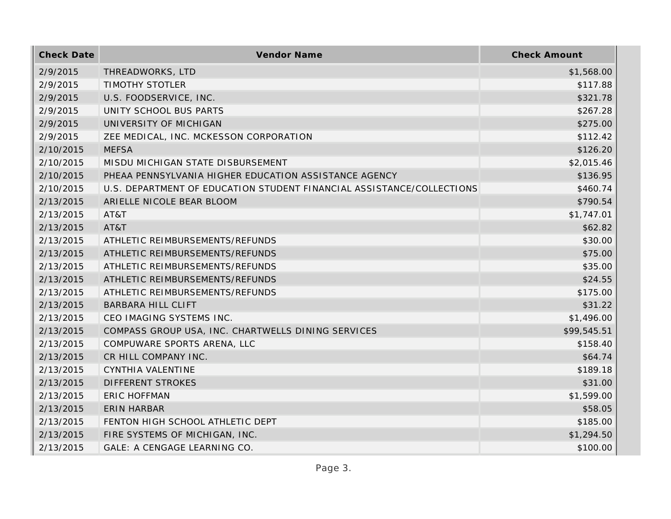| <b>Check Date</b> | Vendor Name                                                           | <b>Check Amount</b> |
|-------------------|-----------------------------------------------------------------------|---------------------|
| 2/9/2015          | THREADWORKS, LTD                                                      | \$1,568.00          |
| 2/9/2015          | <b>TIMOTHY STOTLER</b>                                                | \$117.88            |
| 2/9/2015          | U.S. FOODSERVICE, INC.                                                | \$321.78            |
| 2/9/2015          | UNITY SCHOOL BUS PARTS                                                | \$267.28            |
| 2/9/2015          | UNIVERSITY OF MICHIGAN                                                | \$275.00            |
| 2/9/2015          | ZEE MEDICAL, INC. MCKESSON CORPORATION                                | \$112.42            |
| 2/10/2015         | <b>MEFSA</b>                                                          | \$126.20            |
| 2/10/2015         | MISDU MICHIGAN STATE DISBURSEMENT                                     | \$2,015.46          |
| 2/10/2015         | PHEAA PENNSYLVANIA HIGHER EDUCATION ASSISTANCE AGENCY                 | \$136.95            |
| 2/10/2015         | U.S. DEPARTMENT OF EDUCATION STUDENT FINANCIAL ASSISTANCE/COLLECTIONS | \$460.74            |
| 2/13/2015         | ARIELLE NICOLE BEAR BLOOM                                             | \$790.54            |
| 2/13/2015         | AT&T                                                                  | \$1,747.01          |
| 2/13/2015         | AT&T                                                                  | \$62.82             |
| 2/13/2015         | ATHLETIC REIMBURSEMENTS/REFUNDS                                       | \$30.00             |
| 2/13/2015         | ATHLETIC REIMBURSEMENTS/REFUNDS                                       | \$75.00             |
| 2/13/2015         | ATHLETIC REIMBURSEMENTS/REFUNDS                                       | \$35.00             |
| 2/13/2015         | ATHLETIC REIMBURSEMENTS/REFUNDS                                       | \$24.55             |
| 2/13/2015         | ATHLETIC REIMBURSEMENTS/REFUNDS                                       | \$175.00            |
| 2/13/2015         | BARBARA HILL CLIFT                                                    | \$31.22             |
| 2/13/2015         | CEO IMAGING SYSTEMS INC.                                              | \$1,496.00          |
| 2/13/2015         | COMPASS GROUP USA, INC. CHARTWELLS DINING SERVICES                    | \$99,545.51         |
| 2/13/2015         | COMPUWARE SPORTS ARENA, LLC                                           | \$158.40            |
| 2/13/2015         | CR HILL COMPANY INC.                                                  | \$64.74             |
| 2/13/2015         | CYNTHIA VALENTINE                                                     | \$189.18            |
| 2/13/2015         | DIFFERENT STROKES                                                     | \$31.00             |
| 2/13/2015         | <b>ERIC HOFFMAN</b>                                                   | \$1,599.00          |
| 2/13/2015         | <b>ERIN HARBAR</b>                                                    | \$58.05             |
| 2/13/2015         | FENTON HIGH SCHOOL ATHLETIC DEPT                                      | \$185.00            |
| 2/13/2015         | FIRE SYSTEMS OF MICHIGAN, INC.                                        | \$1,294.50          |
| 2/13/2015         | GALE: A CENGAGE LEARNING CO.                                          | \$100.00            |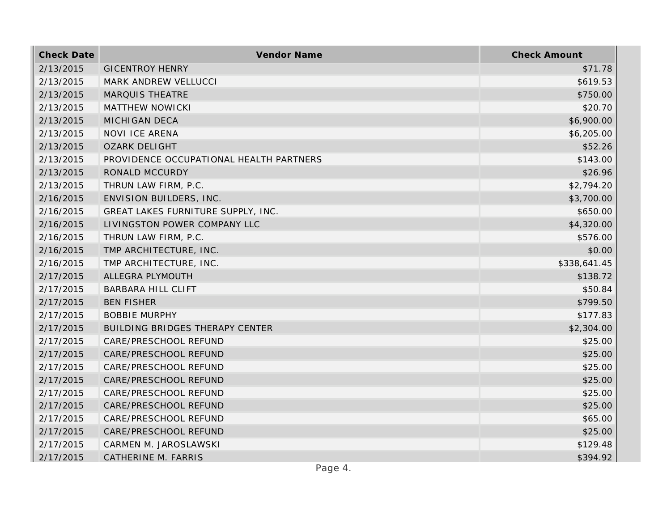| <b>Check Date</b> | Vendor Name                             | <b>Check Amount</b> |
|-------------------|-----------------------------------------|---------------------|
| 2/13/2015         | <b>GICENTROY HENRY</b>                  | \$71.78             |
| 2/13/2015         | MARK ANDREW VELLUCCI                    | \$619.53            |
| 2/13/2015         | <b>MARQUIS THEATRE</b>                  | \$750.00            |
| 2/13/2015         | MATTHEW NOWICKI                         | \$20.70             |
| 2/13/2015         | <b>MICHIGAN DECA</b>                    | \$6,900.00          |
| 2/13/2015         | <b>NOVI ICE ARENA</b>                   | \$6,205.00          |
| 2/13/2015         | <b>OZARK DELIGHT</b>                    | \$52.26             |
| 2/13/2015         | PROVIDENCE OCCUPATIONAL HEALTH PARTNERS | \$143.00            |
| 2/13/2015         | RONALD MCCURDY                          | \$26.96             |
| 2/13/2015         | THRUN LAW FIRM, P.C.                    | \$2,794.20          |
| 2/16/2015         | ENVISION BUILDERS, INC.                 | \$3,700.00          |
| 2/16/2015         | GREAT LAKES FURNITURE SUPPLY, INC.      | \$650.00            |
| 2/16/2015         | LIVINGSTON POWER COMPANY LLC            | \$4,320.00          |
| 2/16/2015         | THRUN LAW FIRM, P.C.                    | \$576.00            |
| 2/16/2015         | TMP ARCHITECTURE, INC.                  | \$0.00              |
| 2/16/2015         | TMP ARCHITECTURE, INC.                  | \$338,641.45        |
| 2/17/2015         | ALLEGRA PLYMOUTH                        | \$138.72            |
| 2/17/2015         | <b>BARBARA HILL CLIFT</b>               | \$50.84             |
| 2/17/2015         | <b>BEN FISHER</b>                       | \$799.50            |
| 2/17/2015         | <b>BOBBIE MURPHY</b>                    | \$177.83            |
| 2/17/2015         | BUILDING BRIDGES THERAPY CENTER         | \$2,304.00          |
| 2/17/2015         | CARE/PRESCHOOL REFUND                   | \$25.00             |
| 2/17/2015         | CARE/PRESCHOOL REFUND                   | \$25.00             |
| 2/17/2015         | CARE/PRESCHOOL REFUND                   | \$25.00             |
| 2/17/2015         | CARE/PRESCHOOL REFUND                   | \$25.00             |
| 2/17/2015         | CARE/PRESCHOOL REFUND                   | \$25.00             |
| 2/17/2015         | CARE/PRESCHOOL REFUND                   | \$25.00             |
| 2/17/2015         | CARE/PRESCHOOL REFUND                   | \$65.00             |
| 2/17/2015         | CARE/PRESCHOOL REFUND                   | \$25.00             |
| 2/17/2015         | CARMEN M. JAROSLAWSKI                   | \$129.48            |
| 2/17/2015         | CATHERINE M. FARRIS                     | \$394.92            |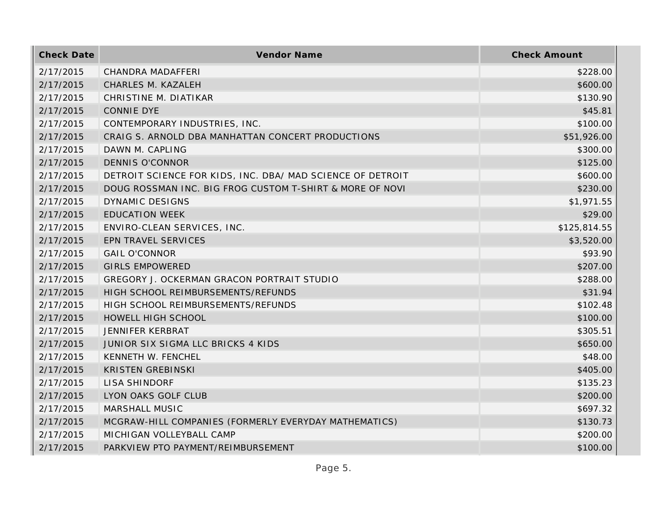| <b>Check Date</b> | Vendor Name                                                | <b>Check Amount</b> |
|-------------------|------------------------------------------------------------|---------------------|
| 2/17/2015         | CHANDRA MADAFFERI                                          | \$228.00            |
| 2/17/2015         | CHARLES M. KAZALEH                                         | \$600.00            |
| 2/17/2015         | CHRISTINE M. DIATIKAR                                      | \$130.90            |
| 2/17/2015         | CONNIE DYE                                                 | \$45.81             |
| 2/17/2015         | CONTEMPORARY INDUSTRIES, INC.                              | \$100.00            |
| 2/17/2015         | CRAIG S. ARNOLD DBA MANHATTAN CONCERT PRODUCTIONS          | \$51,926.00         |
| 2/17/2015         | DAWN M. CAPLING                                            | \$300.00            |
| 2/17/2015         | <b>DENNIS O'CONNOR</b>                                     | \$125.00            |
| 2/17/2015         | DETROIT SCIENCE FOR KIDS, INC. DBA/ MAD SCIENCE OF DETROIT | \$600.00            |
| 2/17/2015         | DOUG ROSSMAN INC. BIG FROG CUSTOM T-SHIRT & MORE OF NOVI   | \$230.00            |
| 2/17/2015         | <b>DYNAMIC DESIGNS</b>                                     | \$1,971.55          |
| 2/17/2015         | <b>EDUCATION WEEK</b>                                      | \$29.00             |
| 2/17/2015         | ENVIRO-CLEAN SERVICES, INC.                                | \$125,814.55        |
| 2/17/2015         | EPN TRAVEL SERVICES                                        | \$3,520.00          |
| 2/17/2015         | <b>GAIL O'CONNOR</b>                                       | \$93.90             |
| 2/17/2015         | <b>GIRLS EMPOWERED</b>                                     | \$207.00            |
| 2/17/2015         | GREGORY J. OCKERMAN GRACON PORTRAIT STUDIO                 | \$288.00            |
| 2/17/2015         | HIGH SCHOOL REIMBURSEMENTS/REFUNDS                         | \$31.94             |
| 2/17/2015         | HIGH SCHOOL REIMBURSEMENTS/REFUNDS                         | \$102.48            |
| 2/17/2015         | HOWELL HIGH SCHOOL                                         | \$100.00            |
| 2/17/2015         | JENNIFER KERBRAT                                           | \$305.51            |
| 2/17/2015         | JUNIOR SIX SIGMA LLC BRICKS 4 KIDS                         | \$650.00            |
| 2/17/2015         | KENNETH W. FENCHEL                                         | \$48.00             |
| 2/17/2015         | <b>KRISTEN GREBINSKI</b>                                   | \$405.00            |
| 2/17/2015         | <b>LISA SHINDORF</b>                                       | \$135.23            |
| 2/17/2015         | LYON OAKS GOLF CLUB                                        | \$200.00            |
| 2/17/2015         | MARSHALL MUSIC                                             | \$697.32            |
| 2/17/2015         | MCGRAW-HILL COMPANIES (FORMERLY EVERYDAY MATHEMATICS)      | \$130.73            |
| 2/17/2015         | MICHIGAN VOLLEYBALL CAMP                                   | \$200.00            |
| 2/17/2015         | PARKVIEW PTO PAYMENT/REIMBURSEMENT                         | \$100.00            |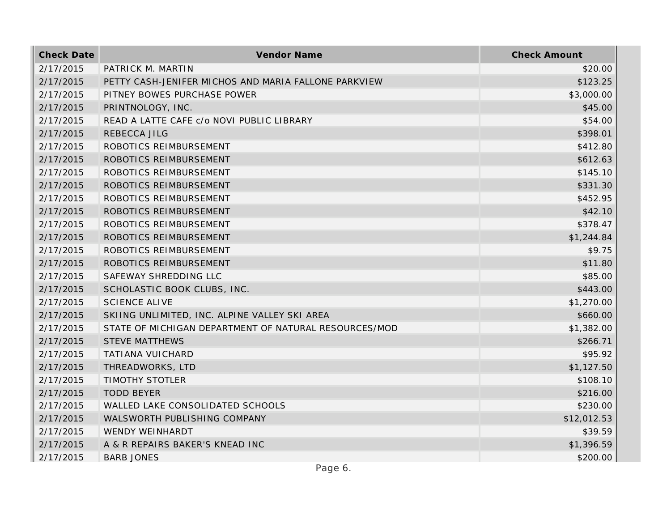| <b>Check Date</b> | Vendor Name                                           | <b>Check Amount</b> |
|-------------------|-------------------------------------------------------|---------------------|
| 2/17/2015         | PATRICK M. MARTIN                                     | \$20.00             |
| 2/17/2015         | PETTY CASH-JENIFER MICHOS AND MARIA FALLONE PARKVIEW  | \$123.25            |
| 2/17/2015         | PITNEY BOWES PURCHASE POWER                           | \$3,000.00          |
| 2/17/2015         | PRINTNOLOGY, INC.                                     | \$45.00             |
| 2/17/2015         | READ A LATTE CAFE c/o NOVI PUBLIC LIBRARY             | \$54.00             |
| 2/17/2015         | REBECCA JILG                                          | \$398.01            |
| 2/17/2015         | ROBOTICS REIMBURSEMENT                                | \$412.80            |
| 2/17/2015         | ROBOTICS REIMBURSEMENT                                | \$612.63            |
| 2/17/2015         | ROBOTICS REIMBURSEMENT                                | \$145.10            |
| 2/17/2015         | ROBOTICS REIMBURSEMENT                                | \$331.30            |
| 2/17/2015         | ROBOTICS REIMBURSEMENT                                | \$452.95            |
| 2/17/2015         | ROBOTICS REIMBURSEMENT                                | \$42.10             |
| 2/17/2015         | ROBOTICS REIMBURSEMENT                                | \$378.47            |
| 2/17/2015         | ROBOTICS REIMBURSEMENT                                | \$1,244.84          |
| 2/17/2015         | ROBOTICS REIMBURSEMENT                                | \$9.75              |
| 2/17/2015         | ROBOTICS REIMBURSEMENT                                | \$11.80             |
| 2/17/2015         | SAFEWAY SHREDDING LLC                                 | \$85.00             |
| 2/17/2015         | SCHOLASTIC BOOK CLUBS, INC.                           | \$443.00            |
| 2/17/2015         | <b>SCIENCE ALIVE</b>                                  | \$1,270.00          |
| 2/17/2015         | SKIING UNLIMITED, INC. ALPINE VALLEY SKI AREA         | \$660.00            |
| 2/17/2015         | STATE OF MICHIGAN DEPARTMENT OF NATURAL RESOURCES/MOD | \$1,382.00          |
| 2/17/2015         | <b>STEVE MATTHEWS</b>                                 | \$266.71            |
| 2/17/2015         | <b>TATIANA VUICHARD</b>                               | \$95.92             |
| 2/17/2015         | THREADWORKS, LTD                                      | \$1,127.50          |
| 2/17/2015         | <b>TIMOTHY STOTLER</b>                                | \$108.10            |
| 2/17/2015         | <b>TODD BEYER</b>                                     | \$216.00            |
| 2/17/2015         | WALLED LAKE CONSOLIDATED SCHOOLS                      | \$230.00            |
| 2/17/2015         | WALSWORTH PUBLISHING COMPANY                          | \$12,012.53         |
| 2/17/2015         | WENDY WEINHARDT                                       | \$39.59             |
| 2/17/2015         | A & R REPAIRS BAKER'S KNEAD INC                       | \$1,396.59          |
| 2/17/2015         | <b>BARB JONES</b>                                     | \$200.00            |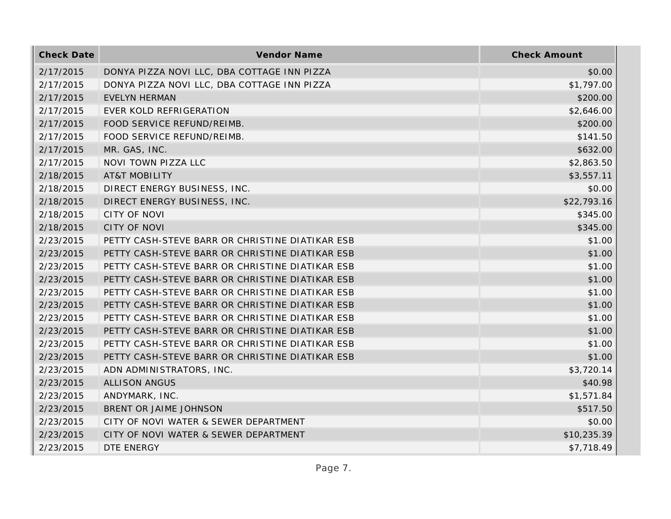| <b>Check Date</b> | Vendor Name                                     | <b>Check Amount</b> |
|-------------------|-------------------------------------------------|---------------------|
| 2/17/2015         | DONYA PIZZA NOVI LLC, DBA COTTAGE INN PIZZA     | \$0.00              |
| 2/17/2015         | DONYA PIZZA NOVI LLC, DBA COTTAGE INN PIZZA     | \$1,797.00          |
| 2/17/2015         | <b>EVELYN HERMAN</b>                            | \$200.00            |
| 2/17/2015         | EVER KOLD REFRIGERATION                         | \$2,646.00          |
| 2/17/2015         | FOOD SERVICE REFUND/REIMB.                      | \$200.00            |
| 2/17/2015         | FOOD SERVICE REFUND/REIMB.                      | \$141.50            |
| 2/17/2015         | MR. GAS, INC.                                   | \$632.00            |
| 2/17/2015         | NOVI TOWN PIZZA LLC                             | \$2,863.50          |
| 2/18/2015         | <b>AT&amp;T MOBILITY</b>                        | \$3,557.11          |
| 2/18/2015         | DIRECT ENERGY BUSINESS, INC.                    | \$0.00              |
| 2/18/2015         | DIRECT ENERGY BUSINESS, INC.                    | \$22,793.16         |
| 2/18/2015         | <b>CITY OF NOVI</b>                             | \$345.00            |
| 2/18/2015         | <b>CITY OF NOVI</b>                             | \$345.00            |
| 2/23/2015         | PETTY CASH-STEVE BARR OR CHRISTINE DIATIKAR ESB | \$1.00              |
| 2/23/2015         | PETTY CASH-STEVE BARR OR CHRISTINE DIATIKAR ESB | \$1.00              |
| 2/23/2015         | PETTY CASH-STEVE BARR OR CHRISTINE DIATIKAR ESB | \$1.00              |
| 2/23/2015         | PETTY CASH-STEVE BARR OR CHRISTINE DIATIKAR ESB | \$1.00              |
| 2/23/2015         | PETTY CASH-STEVE BARR OR CHRISTINE DIATIKAR ESB | \$1.00              |
| 2/23/2015         | PETTY CASH-STEVE BARR OR CHRISTINE DIATIKAR ESB | \$1.00              |
| 2/23/2015         | PETTY CASH-STEVE BARR OR CHRISTINE DIATIKAR ESB | \$1.00              |
| 2/23/2015         | PETTY CASH-STEVE BARR OR CHRISTINE DIATIKAR ESB | \$1.00              |
| 2/23/2015         | PETTY CASH-STEVE BARR OR CHRISTINE DIATIKAR ESB | \$1.00              |
| 2/23/2015         | PETTY CASH-STEVE BARR OR CHRISTINE DIATIKAR ESB | \$1.00              |
| 2/23/2015         | ADN ADMINISTRATORS, INC.                        | \$3,720.14          |
| 2/23/2015         | <b>ALLISON ANGUS</b>                            | \$40.98             |
| 2/23/2015         | ANDYMARK, INC.                                  | \$1,571.84          |
| 2/23/2015         | BRENT OR JAIME JOHNSON                          | \$517.50            |
| 2/23/2015         | CITY OF NOVI WATER & SEWER DEPARTMENT           | \$0.00              |
| 2/23/2015         | CITY OF NOVI WATER & SEWER DEPARTMENT           | \$10,235.39         |
| 2/23/2015         | DTE ENERGY                                      | \$7,718.49          |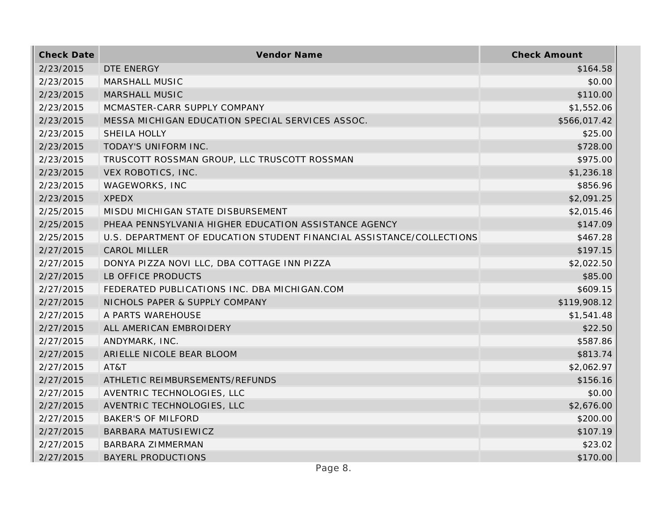| <b>Check Date</b> | Vendor Name                                                           | <b>Check Amount</b> |
|-------------------|-----------------------------------------------------------------------|---------------------|
| 2/23/2015         | DTE ENERGY                                                            | \$164.58            |
| 2/23/2015         | <b>MARSHALL MUSIC</b>                                                 | \$0.00              |
| 2/23/2015         | <b>MARSHALL MUSIC</b>                                                 | \$110.00            |
| 2/23/2015         | MCMASTER-CARR SUPPLY COMPANY                                          | \$1,552.06          |
| 2/23/2015         | MESSA MICHIGAN EDUCATION SPECIAL SERVICES ASSOC.                      | \$566,017.42        |
| 2/23/2015         | SHEILA HOLLY                                                          | \$25.00             |
| 2/23/2015         | TODAY'S UNIFORM INC.                                                  | \$728.00            |
| 2/23/2015         | TRUSCOTT ROSSMAN GROUP, LLC TRUSCOTT ROSSMAN                          | \$975.00            |
| 2/23/2015         | VEX ROBOTICS, INC.                                                    | \$1,236.18          |
| 2/23/2015         | WAGEWORKS, INC                                                        | \$856.96            |
| 2/23/2015         | <b>XPEDX</b>                                                          | \$2,091.25          |
| 2/25/2015         | MISDU MICHIGAN STATE DISBURSEMENT                                     | \$2,015.46          |
| 2/25/2015         | PHEAA PENNSYLVANIA HIGHER EDUCATION ASSISTANCE AGENCY                 | \$147.09            |
| 2/25/2015         | U.S. DEPARTMENT OF EDUCATION STUDENT FINANCIAL ASSISTANCE/COLLECTIONS | \$467.28            |
| 2/27/2015         | <b>CAROL MILLER</b>                                                   | \$197.15            |
| 2/27/2015         | DONYA PIZZA NOVI LLC, DBA COTTAGE INN PIZZA                           | \$2,022.50          |
| 2/27/2015         | LB OFFICE PRODUCTS                                                    | \$85.00             |
| 2/27/2015         | FEDERATED PUBLICATIONS INC. DBA MICHIGAN.COM                          | \$609.15            |
| 2/27/2015         | NICHOLS PAPER & SUPPLY COMPANY                                        | \$119,908.12        |
| 2/27/2015         | A PARTS WAREHOUSE                                                     | \$1,541.48          |
| 2/27/2015         | ALL AMERICAN EMBROIDERY                                               | \$22.50             |
| 2/27/2015         | ANDYMARK, INC.                                                        | \$587.86            |
| 2/27/2015         | ARIELLE NICOLE BEAR BLOOM                                             | \$813.74            |
| 2/27/2015         | AT&T                                                                  | \$2,062.97          |
| 2/27/2015         | ATHLETIC REIMBURSEMENTS/REFUNDS                                       | \$156.16            |
| 2/27/2015         | AVENTRIC TECHNOLOGIES, LLC                                            | \$0.00              |
| 2/27/2015         | AVENTRIC TECHNOLOGIES, LLC                                            | \$2,676.00          |
| 2/27/2015         | <b>BAKER'S OF MILFORD</b>                                             | \$200.00            |
| 2/27/2015         | <b>BARBARA MATUSIEWICZ</b>                                            | \$107.19            |
| 2/27/2015         | <b>BARBARA ZIMMERMAN</b>                                              | \$23.02             |
| 2/27/2015         | <b>BAYERL PRODUCTIONS</b>                                             | \$170.00            |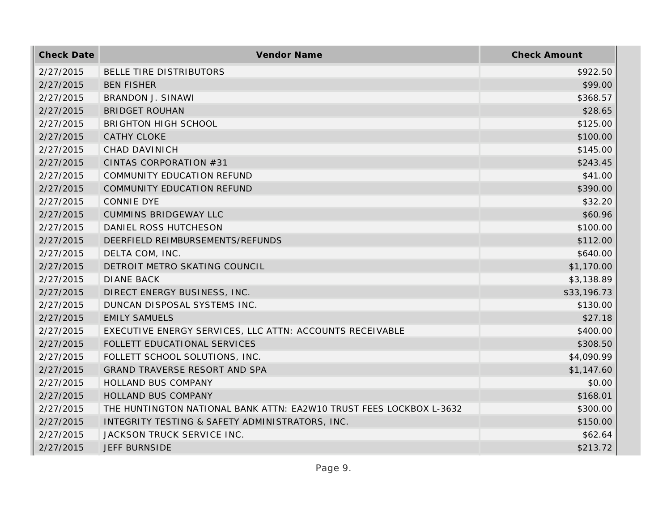| <b>Check Date</b> | Vendor Name                                                         | <b>Check Amount</b> |
|-------------------|---------------------------------------------------------------------|---------------------|
| 2/27/2015         | BELLE TIRE DISTRIBUTORS                                             | \$922.50            |
| 2/27/2015         | <b>BEN FISHER</b>                                                   | \$99.00             |
| 2/27/2015         | <b>BRANDON J. SINAWI</b>                                            | \$368.57            |
| 2/27/2015         | <b>BRIDGET ROUHAN</b>                                               | \$28.65             |
| 2/27/2015         | <b>BRIGHTON HIGH SCHOOL</b>                                         | \$125.00            |
| 2/27/2015         | <b>CATHY CLOKE</b>                                                  | \$100.00            |
| 2/27/2015         | <b>CHAD DAVINICH</b>                                                | \$145.00            |
| 2/27/2015         | CINTAS CORPORATION #31                                              | \$243.45            |
| 2/27/2015         | COMMUNITY EDUCATION REFUND                                          | \$41.00             |
| 2/27/2015         | COMMUNITY EDUCATION REFUND                                          | \$390.00            |
| 2/27/2015         | <b>CONNIE DYE</b>                                                   | \$32.20             |
| 2/27/2015         | <b>CUMMINS BRIDGEWAY LLC</b>                                        | \$60.96             |
| 2/27/2015         | DANIEL ROSS HUTCHESON                                               | \$100.00            |
| 2/27/2015         | DEERFIELD REIMBURSEMENTS/REFUNDS                                    | \$112.00            |
| 2/27/2015         | DELTA COM, INC.                                                     | \$640.00            |
| 2/27/2015         | DETROIT METRO SKATING COUNCIL                                       | \$1,170.00          |
| 2/27/2015         | <b>DIANE BACK</b>                                                   | \$3,138.89          |
| 2/27/2015         | DIRECT ENERGY BUSINESS, INC.                                        | \$33,196.73         |
| 2/27/2015         | DUNCAN DISPOSAL SYSTEMS INC.                                        | \$130.00            |
| 2/27/2015         | <b>EMILY SAMUELS</b>                                                | \$27.18             |
| 2/27/2015         | EXECUTIVE ENERGY SERVICES, LLC ATTN: ACCOUNTS RECEIVABLE            | \$400.00            |
| 2/27/2015         | FOLLETT EDUCATIONAL SERVICES                                        | \$308.50            |
| 2/27/2015         | FOLLETT SCHOOL SOLUTIONS, INC.                                      | \$4,090.99          |
| 2/27/2015         | <b>GRAND TRAVERSE RESORT AND SPA</b>                                | \$1,147.60          |
| 2/27/2015         | HOLLAND BUS COMPANY                                                 | \$0.00              |
| 2/27/2015         | HOLLAND BUS COMPANY                                                 | \$168.01            |
| 2/27/2015         | THE HUNTINGTON NATIONAL BANK ATTN: EA2W10 TRUST FEES LOCKBOX L-3632 | \$300.00            |
| 2/27/2015         | INTEGRITY TESTING & SAFETY ADMINISTRATORS, INC.                     | \$150.00            |
| 2/27/2015         | JACKSON TRUCK SERVICE INC.                                          | \$62.64             |
| 2/27/2015         | <b>JEFF BURNSIDE</b>                                                | \$213.72            |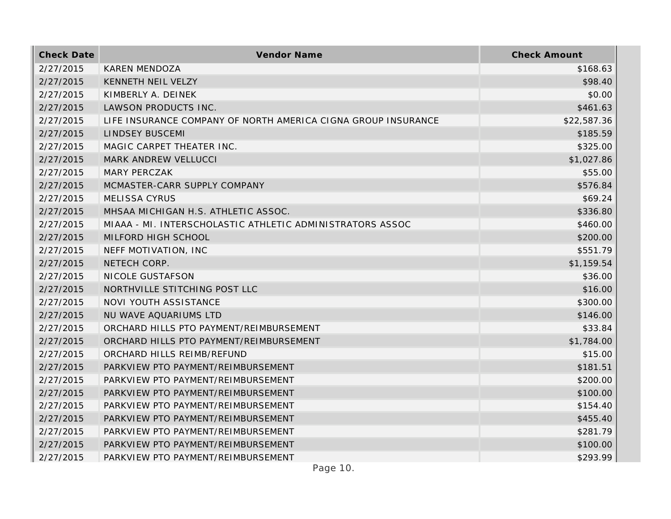| <b>Check Date</b> | Vendor Name                                                   | <b>Check Amount</b> |
|-------------------|---------------------------------------------------------------|---------------------|
| 2/27/2015         | <b>KAREN MENDOZA</b>                                          | \$168.63            |
| 2/27/2015         | KENNETH NEIL VELZY                                            | \$98.40             |
| 2/27/2015         | KIMBERLY A. DEINEK                                            | \$0.00              |
| 2/27/2015         | LAWSON PRODUCTS INC.                                          | \$461.63            |
| 2/27/2015         | LIFE INSURANCE COMPANY OF NORTH AMERICA CIGNA GROUP INSURANCE | \$22,587.36         |
| 2/27/2015         | <b>LINDSEY BUSCEMI</b>                                        | \$185.59            |
| 2/27/2015         | MAGIC CARPET THEATER INC.                                     | \$325.00            |
| 2/27/2015         | MARK ANDREW VELLUCCI                                          | \$1,027.86          |
| 2/27/2015         | <b>MARY PERCZAK</b>                                           | \$55.00             |
| 2/27/2015         | MCMASTER-CARR SUPPLY COMPANY                                  | \$576.84            |
| 2/27/2015         | <b>MELISSA CYRUS</b>                                          | \$69.24             |
| 2/27/2015         | MHSAA MICHIGAN H.S. ATHLETIC ASSOC.                           | \$336.80            |
| 2/27/2015         | MIAAA - MI. INTERSCHOLASTIC ATHLETIC ADMINISTRATORS ASSOC     | \$460.00            |
| 2/27/2015         | MILFORD HIGH SCHOOL                                           | \$200.00            |
| 2/27/2015         | NEFF MOTIVATION, INC                                          | \$551.79            |
| 2/27/2015         | NETECH CORP.                                                  | \$1,159.54          |
| 2/27/2015         | NICOLE GUSTAFSON                                              | \$36.00             |
| 2/27/2015         | NORTHVILLE STITCHING POST LLC                                 | \$16.00             |
| 2/27/2015         | NOVI YOUTH ASSISTANCE                                         | \$300.00            |
| 2/27/2015         | NU WAVE AQUARIUMS LTD                                         | \$146.00            |
| 2/27/2015         | ORCHARD HILLS PTO PAYMENT/REIMBURSEMENT                       | \$33.84             |
| 2/27/2015         | ORCHARD HILLS PTO PAYMENT/REIMBURSEMENT                       | \$1,784.00          |
| 2/27/2015         | ORCHARD HILLS REIMB/REFUND                                    | \$15.00             |
| 2/27/2015         | PARKVIEW PTO PAYMENT/REIMBURSEMENT                            | \$181.51            |
| 2/27/2015         | PARKVIEW PTO PAYMENT/REIMBURSEMENT                            | \$200.00            |
| 2/27/2015         | PARKVIEW PTO PAYMENT/REIMBURSEMENT                            | \$100.00            |
| 2/27/2015         | PARKVIEW PTO PAYMENT/REIMBURSEMENT                            | \$154.40            |
| 2/27/2015         | PARKVIEW PTO PAYMENT/REIMBURSEMENT                            | \$455.40            |
| 2/27/2015         | PARKVIEW PTO PAYMENT/REIMBURSEMENT                            | \$281.79            |
| 2/27/2015         | PARKVIEW PTO PAYMENT/REIMBURSEMENT                            | \$100.00            |
| 2/27/2015         | PARKVIEW PTO PAYMENT/REIMBURSEMENT                            | \$293.99            |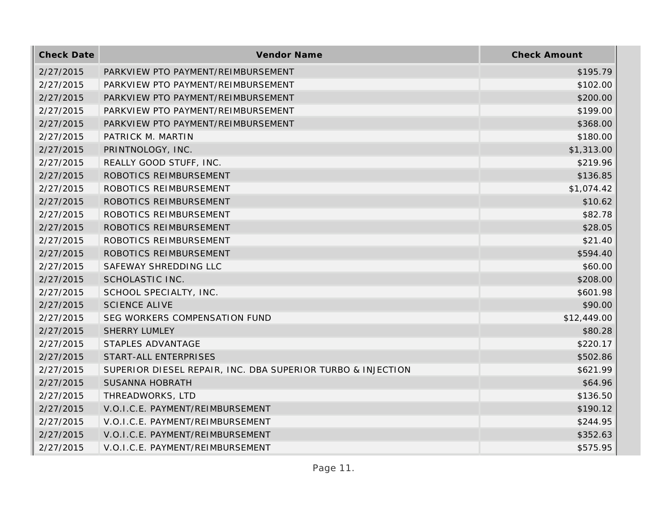| <b>Check Date</b> | Vendor Name                                                 | <b>Check Amount</b> |
|-------------------|-------------------------------------------------------------|---------------------|
| 2/27/2015         | PARKVIEW PTO PAYMENT/REIMBURSEMENT                          | \$195.79            |
| 2/27/2015         | PARKVIEW PTO PAYMENT/REIMBURSEMENT                          | \$102.00            |
| 2/27/2015         | PARKVIEW PTO PAYMENT/REIMBURSEMENT                          | \$200.00            |
| 2/27/2015         | PARKVIEW PTO PAYMENT/REIMBURSEMENT                          | \$199.00            |
| 2/27/2015         | PARKVIEW PTO PAYMENT/REIMBURSEMENT                          | \$368.00            |
| 2/27/2015         | PATRICK M. MARTIN                                           | \$180.00            |
| 2/27/2015         | PRINTNOLOGY, INC.                                           | \$1,313.00          |
| 2/27/2015         | REALLY GOOD STUFF, INC.                                     | \$219.96            |
| 2/27/2015         | ROBOTICS REIMBURSEMENT                                      | \$136.85            |
| 2/27/2015         | ROBOTICS REIMBURSEMENT                                      | \$1,074.42          |
| 2/27/2015         | ROBOTICS REIMBURSEMENT                                      | \$10.62             |
| 2/27/2015         | ROBOTICS REIMBURSEMENT                                      | \$82.78             |
| 2/27/2015         | ROBOTICS REIMBURSEMENT                                      | \$28.05             |
| 2/27/2015         | ROBOTICS REIMBURSEMENT                                      | \$21.40             |
| 2/27/2015         | ROBOTICS REIMBURSEMENT                                      | \$594.40            |
| 2/27/2015         | SAFEWAY SHREDDING LLC                                       | \$60.00             |
| 2/27/2015         | SCHOLASTIC INC.                                             | \$208.00            |
| 2/27/2015         | SCHOOL SPECIALTY, INC.                                      | \$601.98            |
| 2/27/2015         | <b>SCIENCE ALIVE</b>                                        | \$90.00             |
| 2/27/2015         | SEG WORKERS COMPENSATION FUND                               | \$12,449.00         |
| 2/27/2015         | <b>SHERRY LUMLEY</b>                                        | \$80.28             |
| 2/27/2015         | STAPLES ADVANTAGE                                           | \$220.17            |
| 2/27/2015         | START-ALL ENTERPRISES                                       | \$502.86            |
| 2/27/2015         | SUPERIOR DIESEL REPAIR, INC. DBA SUPERIOR TURBO & INJECTION | \$621.99            |
| 2/27/2015         | <b>SUSANNA HOBRATH</b>                                      | \$64.96             |
| 2/27/2015         | THREADWORKS, LTD                                            | \$136.50            |
| 2/27/2015         | V.O.I.C.E. PAYMENT/REIMBURSEMENT                            | \$190.12            |
| 2/27/2015         | V.O.I.C.E. PAYMENT/REIMBURSEMENT                            | \$244.95            |
| 2/27/2015         | V.O.I.C.E. PAYMENT/REIMBURSEMENT                            | \$352.63            |
| 2/27/2015         | V.O.I.C.E. PAYMENT/REIMBURSEMENT                            | \$575.95            |